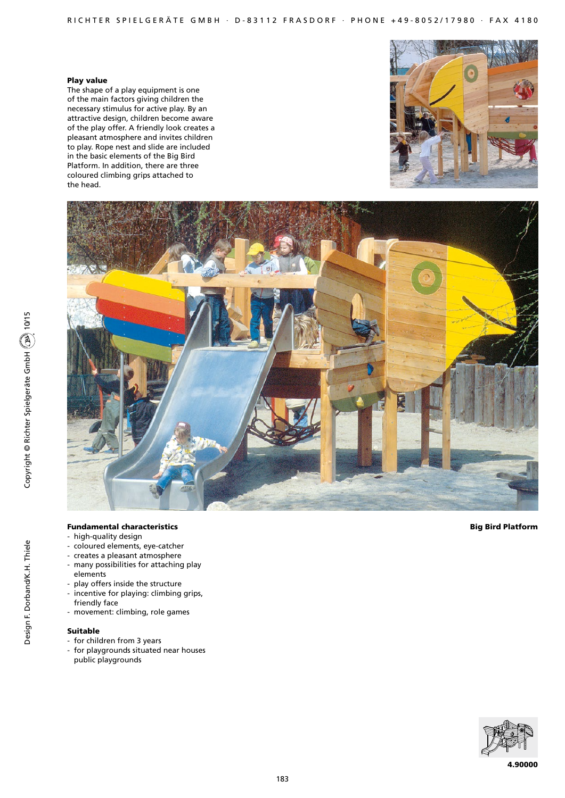# Play value

The shape of a play equipment is one of the main factors giving children the necessary stimulus for active play. By an attractive design, children become aware of the play offer. A friendly look creates a pleasant atmosphere and invites children to play. Rope nest and slide are included in the basic elements of the Big Bird Platform. In addition, there are three coloured climbing grips attached to the head.





# Fundamental characteristics

- high-quality design
- coloured elements, eye-catcher
- creates a pleasant atmosphere
- many possibilities for attaching play elements
- play offers inside the structure
- incentive for playing: climbing grips, friendly face
- movement: climbing, role games

# Suitable

- for children from 3 years
- for playgrounds situated near houses public playgrounds